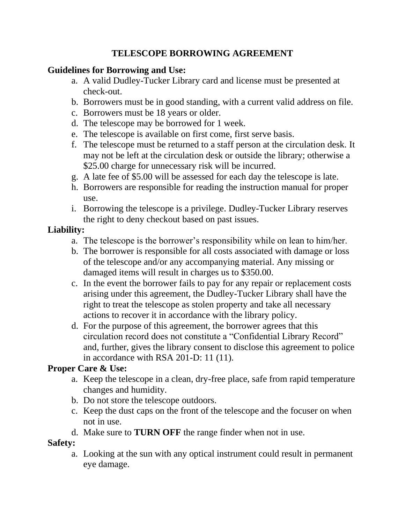## **TELESCOPE BORROWING AGREEMENT**

## **Guidelines for Borrowing and Use:**

- a. A valid Dudley-Tucker Library card and license must be presented at check-out.
- b. Borrowers must be in good standing, with a current valid address on file.
- c. Borrowers must be 18 years or older.
- d. The telescope may be borrowed for 1 week.
- e. The telescope is available on first come, first serve basis.
- f. The telescope must be returned to a staff person at the circulation desk. It may not be left at the circulation desk or outside the library; otherwise a \$25.00 charge for unnecessary risk will be incurred.
- g. A late fee of \$5.00 will be assessed for each day the telescope is late.
- h. Borrowers are responsible for reading the instruction manual for proper use.
- i. Borrowing the telescope is a privilege. Dudley-Tucker Library reserves the right to deny checkout based on past issues.

#### **Liability:**

- a. The telescope is the borrower's responsibility while on lean to him/her.
- b. The borrower is responsible for all costs associated with damage or loss of the telescope and/or any accompanying material. Any missing or damaged items will result in charges us to \$350.00.
- c. In the event the borrower fails to pay for any repair or replacement costs arising under this agreement, the Dudley-Tucker Library shall have the right to treat the telescope as stolen property and take all necessary actions to recover it in accordance with the library policy.
- d. For the purpose of this agreement, the borrower agrees that this circulation record does not constitute a "Confidential Library Record" and, further, gives the library consent to disclose this agreement to police in accordance with RSA 201-D: 11 (11).

# **Proper Care & Use:**

- a. Keep the telescope in a clean, dry-free place, safe from rapid temperature changes and humidity.
- b. Do not store the telescope outdoors.
- c. Keep the dust caps on the front of the telescope and the focuser on when not in use.
- d. Make sure to **TURN OFF** the range finder when not in use.

# **Safety:**

a. Looking at the sun with any optical instrument could result in permanent eye damage.